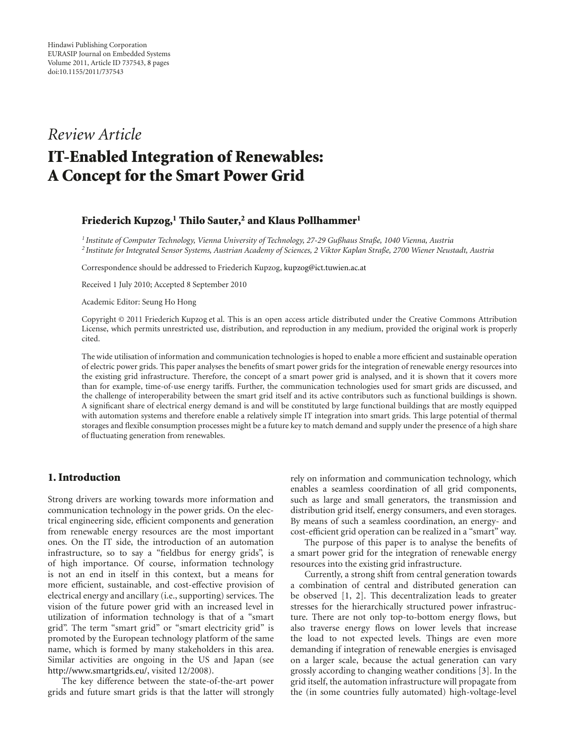# *Review Article* **IT-Enabled Integration of Renewables: A Concept for the Smart Power Grid**

#### **Friederich Kupzog,<sup>1</sup> Thilo Sauter,<sup>2</sup> and Klaus Pollhammer<sup>1</sup>**

*<sup>1</sup> Institute of Computer Technology, Vienna University of Technology, 27-29 Gußhaus Straße, 1040 Vienna, Austria <sup>2</sup> Institute for Integrated Sensor Systems, Austrian Academy of Sciences, 2 Viktor Kaplan Straße, 2700 Wiener Neustadt, Austria*

Correspondence should be addressed to Friederich Kupzog, kupzog@ict.tuwien.ac.at

Received 1 July 2010; Accepted 8 September 2010

Academic Editor: Seung Ho Hong

Copyright © 2011 Friederich Kupzog et al. This is an open access article distributed under the Creative Commons Attribution License, which permits unrestricted use, distribution, and reproduction in any medium, provided the original work is properly cited.

The wide utilisation of information and communication technologies is hoped to enable a more efficient and sustainable operation of electric power grids. This paper analyses the benefits of smart power grids for the integration of renewable energy resources into the existing grid infrastructure. Therefore, the concept of a smart power grid is analysed, and it is shown that it covers more than for example, time-of-use energy tariffs. Further, the communication technologies used for smart grids are discussed, and the challenge of interoperability between the smart grid itself and its active contributors such as functional buildings is shown. A significant share of electrical energy demand is and will be constituted by large functional buildings that are mostly equipped with automation systems and therefore enable a relatively simple IT integration into smart grids. This large potential of thermal storages and flexible consumption processes might be a future key to match demand and supply under the presence of a high share of fluctuating generation from renewables.

## **1. Introduction**

Strong drivers are working towards more information and communication technology in the power grids. On the electrical engineering side, efficient components and generation from renewable energy resources are the most important ones. On the IT side, the introduction of an automation infrastructure, so to say a "fieldbus for energy grids", is of high importance. Of course, information technology is not an end in itself in this context, but a means for more efficient, sustainable, and cost-effective provision of electrical energy and ancillary (i.e., supporting) services. The vision of the future power grid with an increased level in utilization of information technology is that of a "smart grid". The term "smart grid" or "smart electricity grid" is promoted by the European technology platform of the same name, which is formed by many stakeholders in this area. Similar activities are ongoing in the US and Japan (see http://www.smartgrids.eu/, visited 12/2008).

The key difference between the state-of-the-art power grids and future smart grids is that the latter will strongly rely on information and communication technology, which enables a seamless coordination of all grid components, such as large and small generators, the transmission and distribution grid itself, energy consumers, and even storages. By means of such a seamless coordination, an energy- and cost-efficient grid operation can be realized in a "smart" way.

The purpose of this paper is to analyse the benefits of a smart power grid for the integration of renewable energy resources into the existing grid infrastructure.

Currently, a strong shift from central generation towards a combination of central and distributed generation can be observed [1, 2]. This decentralization leads to greater stresses for the hierarchically structured power infrastructure. There are not only top-to-bottom energy flows, but also traverse energy flows on lower levels that increase the load to not expected levels. Things are even more demanding if integration of renewable energies is envisaged on a larger scale, because the actual generation can vary grossly according to changing weather conditions [3]. In the grid itself, the automation infrastructure will propagate from the (in some countries fully automated) high-voltage-level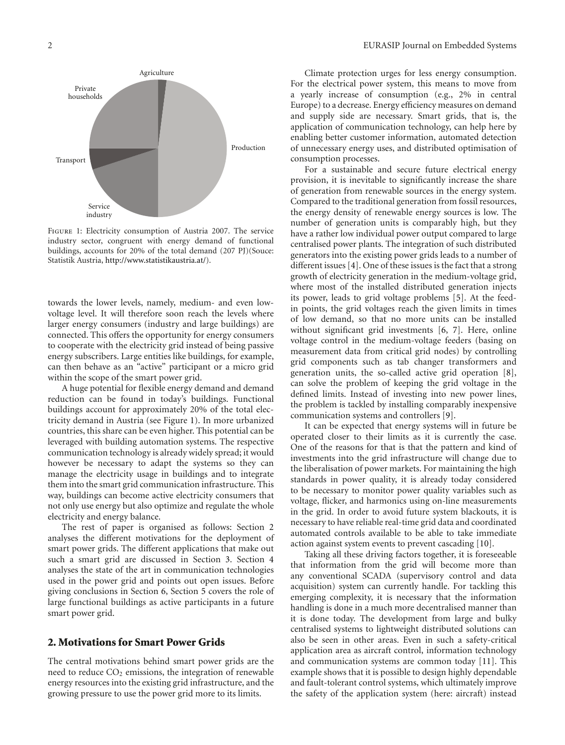

Figure 1: Electricity consumption of Austria 2007. The service industry sector, congruent with energy demand of functional buildings, accounts for 20% of the total demand (207 PJ)(Souce: Statistik Austria, http://www.statistikaustria.at/).

towards the lower levels, namely, medium- and even lowvoltage level. It will therefore soon reach the levels where larger energy consumers (industry and large buildings) are connected. This offers the opportunity for energy consumers to cooperate with the electricity grid instead of being passive energy subscribers. Large entities like buildings, for example, can then behave as an "active" participant or a micro grid within the scope of the smart power grid.

A huge potential for flexible energy demand and demand reduction can be found in today's buildings. Functional buildings account for approximately 20% of the total electricity demand in Austria (see Figure 1). In more urbanized countries, this share can be even higher. This potential can be leveraged with building automation systems. The respective communication technology is already widely spread; it would however be necessary to adapt the systems so they can manage the electricity usage in buildings and to integrate them into the smart grid communication infrastructure. This way, buildings can become active electricity consumers that not only use energy but also optimize and regulate the whole electricity and energy balance.

The rest of paper is organised as follows: Section 2 analyses the different motivations for the deployment of smart power grids. The different applications that make out such a smart grid are discussed in Section 3. Section 4 analyses the state of the art in communication technologies used in the power grid and points out open issues. Before giving conclusions in Section 6, Section 5 covers the role of large functional buildings as active participants in a future smart power grid.

## **2. Motivations for Smart Power Grids**

The central motivations behind smart power grids are the need to reduce  $CO<sub>2</sub>$  emissions, the integration of renewable energy resources into the existing grid infrastructure, and the growing pressure to use the power grid more to its limits.

Climate protection urges for less energy consumption. For the electrical power system, this means to move from a yearly increase of consumption (e.g., 2% in central Europe) to a decrease. Energy efficiency measures on demand and supply side are necessary. Smart grids, that is, the application of communication technology, can help here by enabling better customer information, automated detection of unnecessary energy uses, and distributed optimisation of consumption processes.

For a sustainable and secure future electrical energy provision, it is inevitable to significantly increase the share of generation from renewable sources in the energy system. Compared to the traditional generation from fossil resources, the energy density of renewable energy sources is low. The number of generation units is comparably high, but they have a rather low individual power output compared to large centralised power plants. The integration of such distributed generators into the existing power grids leads to a number of different issues [4]. One of these issues is the fact that a strong growth of electricity generation in the medium-voltage grid, where most of the installed distributed generation injects its power, leads to grid voltage problems [5]. At the feedin points, the grid voltages reach the given limits in times of low demand, so that no more units can be installed without significant grid investments [6, 7]. Here, online voltage control in the medium-voltage feeders (basing on measurement data from critical grid nodes) by controlling grid components such as tab changer transformers and generation units, the so-called active grid operation [8], can solve the problem of keeping the grid voltage in the defined limits. Instead of investing into new power lines, the problem is tackled by installing comparably inexpensive communication systems and controllers [9].

It can be expected that energy systems will in future be operated closer to their limits as it is currently the case. One of the reasons for that is that the pattern and kind of investments into the grid infrastructure will change due to the liberalisation of power markets. For maintaining the high standards in power quality, it is already today considered to be necessary to monitor power quality variables such as voltage, flicker, and harmonics using on-line measurements in the grid. In order to avoid future system blackouts, it is necessary to have reliable real-time grid data and coordinated automated controls available to be able to take immediate action against system events to prevent cascading [10].

Taking all these driving factors together, it is foreseeable that information from the grid will become more than any conventional SCADA (supervisory control and data acquisition) system can currently handle. For tackling this emerging complexity, it is necessary that the information handling is done in a much more decentralised manner than it is done today. The development from large and bulky centralised systems to lightweight distributed solutions can also be seen in other areas. Even in such a safety-critical application area as aircraft control, information technology and communication systems are common today [11]. This example shows that it is possible to design highly dependable and fault-tolerant control systems, which ultimately improve the safety of the application system (here: aircraft) instead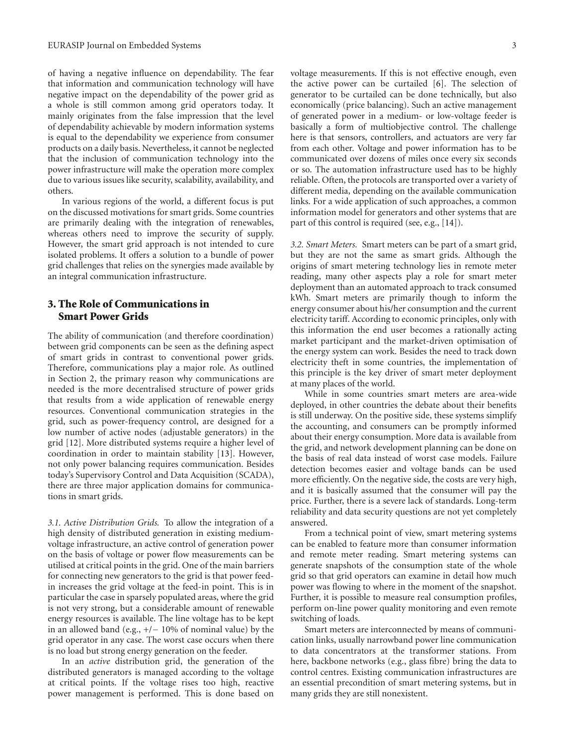of having a negative influence on dependability. The fear that information and communication technology will have negative impact on the dependability of the power grid as a whole is still common among grid operators today. It mainly originates from the false impression that the level of dependability achievable by modern information systems is equal to the dependability we experience from consumer products on a daily basis. Nevertheless, it cannot be neglected that the inclusion of communication technology into the power infrastructure will make the operation more complex due to various issues like security, scalability, availability, and others.

In various regions of the world, a different focus is put on the discussed motivations for smart grids. Some countries are primarily dealing with the integration of renewables, whereas others need to improve the security of supply. However, the smart grid approach is not intended to cure isolated problems. It offers a solution to a bundle of power grid challenges that relies on the synergies made available by an integral communication infrastructure.

# **3. The Role of Communications in Smart Power Grids**

The ability of communication (and therefore coordination) between grid components can be seen as the defining aspect of smart grids in contrast to conventional power grids. Therefore, communications play a major role. As outlined in Section 2, the primary reason why communications are needed is the more decentralised structure of power grids that results from a wide application of renewable energy resources. Conventional communication strategies in the grid, such as power-frequency control, are designed for a low number of active nodes (adjustable generators) in the grid [12]. More distributed systems require a higher level of coordination in order to maintain stability [13]. However, not only power balancing requires communication. Besides today's Supervisory Control and Data Acquisition (SCADA), there are three major application domains for communications in smart grids.

*3.1. Active Distribution Grids.* To allow the integration of a high density of distributed generation in existing mediumvoltage infrastructure, an active control of generation power on the basis of voltage or power flow measurements can be utilised at critical points in the grid. One of the main barriers for connecting new generators to the grid is that power feedin increases the grid voltage at the feed-in point. This is in particular the case in sparsely populated areas, where the grid is not very strong, but a considerable amount of renewable energy resources is available. The line voltage has to be kept in an allowed band (e.g., +/*−* 10% of nominal value) by the grid operator in any case. The worst case occurs when there is no load but strong energy generation on the feeder.

In an *active* distribution grid, the generation of the distributed generators is managed according to the voltage at critical points. If the voltage rises too high, reactive power management is performed. This is done based on

voltage measurements. If this is not effective enough, even the active power can be curtailed [6]. The selection of generator to be curtailed can be done technically, but also economically (price balancing). Such an active management of generated power in a medium- or low-voltage feeder is basically a form of multiobjective control. The challenge here is that sensors, controllers, and actuators are very far from each other. Voltage and power information has to be communicated over dozens of miles once every six seconds or so. The automation infrastructure used has to be highly reliable. Often, the protocols are transported over a variety of different media, depending on the available communication links. For a wide application of such approaches, a common information model for generators and other systems that are part of this control is required (see, e.g., [14]).

*3.2. Smart Meters.* Smart meters can be part of a smart grid, but they are not the same as smart grids. Although the origins of smart metering technology lies in remote meter reading, many other aspects play a role for smart meter deployment than an automated approach to track consumed kWh. Smart meters are primarily though to inform the energy consumer about his/her consumption and the current electricity tariff. According to economic principles, only with this information the end user becomes a rationally acting market participant and the market-driven optimisation of the energy system can work. Besides the need to track down electricity theft in some countries, the implementation of this principle is the key driver of smart meter deployment at many places of the world.

While in some countries smart meters are area-wide deployed, in other countries the debate about their benefits is still underway. On the positive side, these systems simplify the accounting, and consumers can be promptly informed about their energy consumption. More data is available from the grid, and network development planning can be done on the basis of real data instead of worst case models. Failure detection becomes easier and voltage bands can be used more efficiently. On the negative side, the costs are very high, and it is basically assumed that the consumer will pay the price. Further, there is a severe lack of standards. Long-term reliability and data security questions are not yet completely answered.

From a technical point of view, smart metering systems can be enabled to feature more than consumer information and remote meter reading. Smart metering systems can generate snapshots of the consumption state of the whole grid so that grid operators can examine in detail how much power was flowing to where in the moment of the snapshot. Further, it is possible to measure real consumption profiles, perform on-line power quality monitoring and even remote switching of loads.

Smart meters are interconnected by means of communication links, usually narrowband power line communication to data concentrators at the transformer stations. From here, backbone networks (e.g., glass fibre) bring the data to control centres. Existing communication infrastructures are an essential precondition of smart metering systems, but in many grids they are still nonexistent.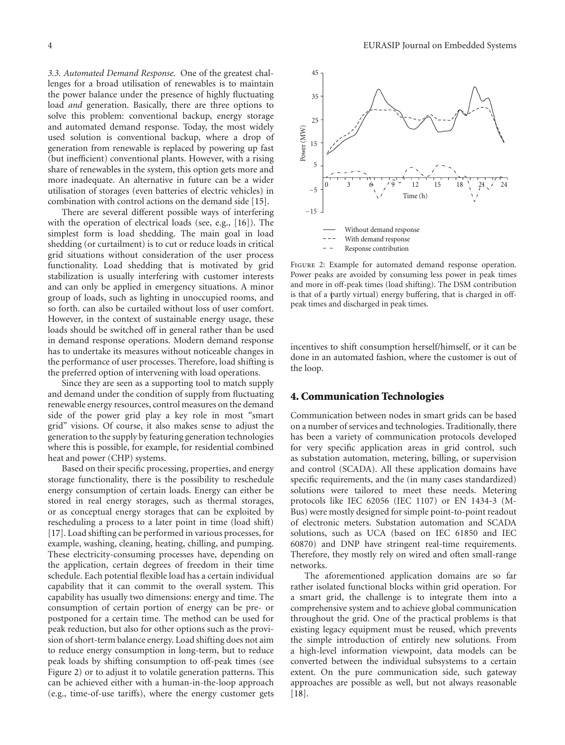*3.3. Automated Demand Response.* One of the greatest challenges for a broad utilisation of renewables is to maintain the power balance under the presence of highly fluctuating load *and* generation. Basically, there are three options to solve this problem: conventional backup, energy storage and automated demand response. Today, the most widely used solution is conventional backup, where a drop of generation from renewable is replaced by powering up fast (but inefficient) conventional plants. However, with a rising share of renewables in the system, this option gets more and more inadequate. An alternative in future can be a wider utilisation of storages (even batteries of electric vehicles) in combination with control actions on the demand side [15].

There are several different possible ways of interfering with the operation of electrical loads (see, e.g., [16]). The simplest form is load shedding. The main goal in load shedding (or curtailment) is to cut or reduce loads in critical grid situations without consideration of the user process functionality. Load shedding that is motivated by grid stabilization is usually interfering with customer interests and can only be applied in emergency situations. A minor group of loads, such as lighting in unoccupied rooms, and so forth. can also be curtailed without loss of user comfort. However, in the context of sustainable energy usage, these loads should be switched off in general rather than be used in demand response operations. Modern demand response has to undertake its measures without noticeable changes in the performance of user processes. Therefore, load shifting is the preferred option of intervening with load operations.

Since they are seen as a supporting tool to match supply and demand under the condition of supply from fluctuating renewable energy resources, control measures on the demand side of the power grid play a key role in most "smart grid" visions. Of course, it also makes sense to adjust the generation to the supply by featuring generation technologies where this is possible, for example, for residential combined heat and power (CHP) systems.

Based on their specific processing, properties, and energy storage functionality, there is the possibility to reschedule energy consumption of certain loads. Energy can either be stored in real energy storages, such as thermal storages, or as conceptual energy storages that can be exploited by rescheduling a process to a later point in time (load shift) [17]. Load shifting can be performed in various processes, for example, washing, cleaning, heating, chilling, and pumping. These electricity-consuming processes have, depending on the application, certain degrees of freedom in their time schedule. Each potential flexible load has a certain individual capability that it can commit to the overall system. This capability has usually two dimensions: energy and time. The consumption of certain portion of energy can be pre- or postponed for a certain time. The method can be used for peak reduction, but also for other options such as the provision of short-term balance energy. Load shifting does not aim to reduce energy consumption in long-term, but to reduce peak loads by shifting consumption to off-peak times (see Figure 2) or to adjust it to volatile generation patterns. This can be achieved either with a human-in-the-loop approach (e.g., time-of-use tariffs), where the energy customer gets



Figure 2: Example for automated demand response operation. Power peaks are avoided by consuming less power in peak times and more in off-peak times (load shifting). The DSM contribution is that of a (partly virtual) energy buffering, that is charged in offpeak times and discharged in peak times.

incentives to shift consumption herself/himself, or it can be done in an automated fashion, where the customer is out of the loop.

#### **4. Communication Technologies**

Communication between nodes in smart grids can be based on a number of services and technologies. Traditionally, there has been a variety of communication protocols developed for very specific application areas in grid control, such as substation automation, metering, billing, or supervision and control (SCADA). All these application domains have specific requirements, and the (in many cases standardized) solutions were tailored to meet these needs. Metering protocols like IEC 62056 (IEC 1107) or EN 1434-3 (M-Bus) were mostly designed for simple point-to-point readout of electronic meters. Substation automation and SCADA solutions, such as UCA (based on IEC 61850 and IEC 60870) and DNP have stringent real-time requirements. Therefore, they mostly rely on wired and often small-range networks.

The aforementioned application domains are so far rather isolated functional blocks within grid operation. For a smart grid, the challenge is to integrate them into a comprehensive system and to achieve global communication throughout the grid. One of the practical problems is that existing legacy equipment must be reused, which prevents the simple introduction of entirely new solutions. From a high-level information viewpoint, data models can be converted between the individual subsystems to a certain extent. On the pure communication side, such gateway approaches are possible as well, but not always reasonable [18].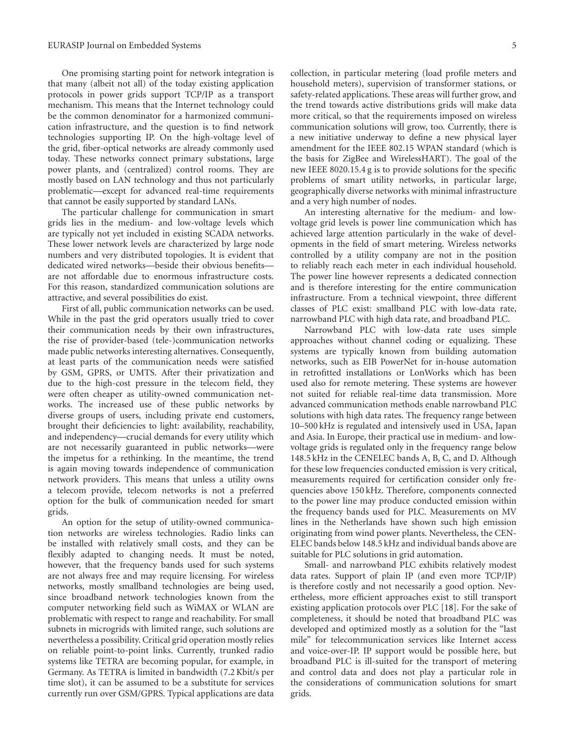One promising starting point for network integration is that many (albeit not all) of the today existing application protocols in power grids support TCP/IP as a transport mechanism. This means that the Internet technology could be the common denominator for a harmonized communication infrastructure, and the question is to find network technologies supporting IP. On the high-voltage level of the grid, fiber-optical networks are already commonly used today. These networks connect primary substations, large power plants, and (centralized) control rooms. They are mostly based on LAN technology and thus not particularly problematic—except for advanced real-time requirements that cannot be easily supported by standard LANs.

The particular challenge for communication in smart grids lies in the medium- and low-voltage levels which are typically not yet included in existing SCADA networks. These lower network levels are characterized by large node numbers and very distributed topologies. It is evident that dedicated wired networks—beside their obvious benefits are not affordable due to enormous infrastructure costs. For this reason, standardized communication solutions are attractive, and several possibilities do exist.

First of all, public communication networks can be used. While in the past the grid operators usually tried to cover their communication needs by their own infrastructures, the rise of provider-based (tele-)communication networks made public networks interesting alternatives. Consequently, at least parts of the communication needs were satisfied by GSM, GPRS, or UMTS. After their privatization and due to the high-cost pressure in the telecom field, they were often cheaper as utility-owned communication networks. The increased use of these public networks by diverse groups of users, including private end customers, brought their deficiencies to light: availability, reachability, and independency—crucial demands for every utility which are not necessarily guaranteed in public networks—were the impetus for a rethinking. In the meantime, the trend is again moving towards independence of communication network providers. This means that unless a utility owns a telecom provide, telecom networks is not a preferred option for the bulk of communication needed for smart grids.

An option for the setup of utility-owned communication networks are wireless technologies. Radio links can be installed with relatively small costs, and they can be flexibly adapted to changing needs. It must be noted, however, that the frequency bands used for such systems are not always free and may require licensing. For wireless networks, mostly smallband technologies are being used, since broadband network technologies known from the computer networking field such as WiMAX or WLAN are problematic with respect to range and reachability. For small subnets in microgrids with limited range, such solutions are nevertheless a possibility. Critical grid operation mostly relies on reliable point-to-point links. Currently, trunked radio systems like TETRA are becoming popular, for example, in Germany. As TETRA is limited in bandwidth (7.2 Kbit/s per time slot), it can be assumed to be a substitute for services currently run over GSM/GPRS. Typical applications are data

collection, in particular metering (load profile meters and household meters), supervision of transformer stations, or safety-related applications. These areas will further grow, and the trend towards active distributions grids will make data more critical, so that the requirements imposed on wireless communication solutions will grow, too. Currently, there is a new initiative underway to define a new physical layer amendment for the IEEE 802.15 WPAN standard (which is the basis for ZigBee and WirelessHART). The goal of the new IEEE 8020.15.4 g is to provide solutions for the specific problems of smart utility networks, in particular large, geographically diverse networks with minimal infrastructure and a very high number of nodes.

An interesting alternative for the medium- and lowvoltage grid levels is power line communication which has achieved large attention particularly in the wake of developments in the field of smart metering. Wireless networks controlled by a utility company are not in the position to reliably reach each meter in each individual household. The power line however represents a dedicated connection and is therefore interesting for the entire communication infrastructure. From a technical viewpoint, three different classes of PLC exist: smallband PLC with low-data rate, narrowband PLC with high data rate, and broadband PLC.

Narrowband PLC with low-data rate uses simple approaches without channel coding or equalizing. These systems are typically known from building automation networks, such as EIB PowerNet for in-house automation in retrofitted installations or LonWorks which has been used also for remote metering. These systems are however not suited for reliable real-time data transmission. More advanced communication methods enable narrowband PLC solutions with high data rates. The frequency range between 10–500 kHz is regulated and intensively used in USA, Japan and Asia. In Europe, their practical use in medium- and lowvoltage grids is regulated only in the frequency range below 148.5 kHz in the CENELEC bands A, B, C, and D. Although for these low frequencies conducted emission is very critical, measurements required for certification consider only frequencies above 150 kHz. Therefore, components connected to the power line may produce conducted emission within the frequency bands used for PLC. Measurements on MV lines in the Netherlands have shown such high emission originating from wind power plants. Nevertheless, the CEN-ELEC bands below 148.5 kHz and individual bands above are suitable for PLC solutions in grid automation.

Small- and narrowband PLC exhibits relatively modest data rates. Support of plain IP (and even more TCP/IP) is therefore costly and not necessarily a good option. Nevertheless, more efficient approaches exist to still transport existing application protocols over PLC [18]. For the sake of completeness, it should be noted that broadband PLC was developed and optimized mostly as a solution for the "last mile" for telecommunication services like Internet access and voice-over-IP. IP support would be possible here, but broadband PLC is ill-suited for the transport of metering and control data and does not play a particular role in the considerations of communication solutions for smart grids.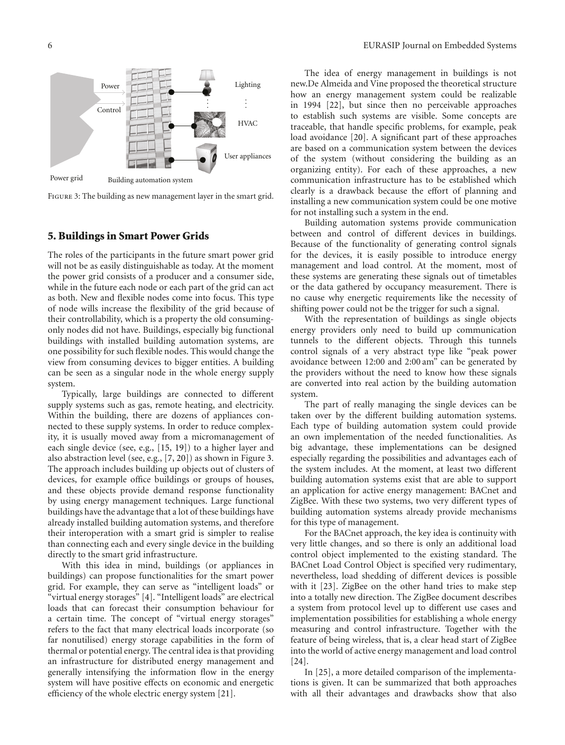

Figure 3: The building as new management layer in the smart grid.

# **5. Buildings in Smart Power Grids**

The roles of the participants in the future smart power grid will not be as easily distinguishable as today. At the moment the power grid consists of a producer and a consumer side, while in the future each node or each part of the grid can act as both. New and flexible nodes come into focus. This type of node wills increase the flexibility of the grid because of their controllability, which is a property the old consumingonly nodes did not have. Buildings, especially big functional buildings with installed building automation systems, are one possibility for such flexible nodes. This would change the view from consuming devices to bigger entities. A building can be seen as a singular node in the whole energy supply system.

Typically, large buildings are connected to different supply systems such as gas, remote heating, and electricity. Within the building, there are dozens of appliances connected to these supply systems. In order to reduce complexity, it is usually moved away from a micromanagement of each single device (see, e.g., [15, 19]) to a higher layer and also abstraction level (see, e.g., [7, 20]) as shown in Figure 3. The approach includes building up objects out of clusters of devices, for example office buildings or groups of houses, and these objects provide demand response functionality by using energy management techniques. Large functional buildings have the advantage that a lot of these buildings have already installed building automation systems, and therefore their interoperation with a smart grid is simpler to realise than connecting each and every single device in the building directly to the smart grid infrastructure.

With this idea in mind, buildings (or appliances in buildings) can propose functionalities for the smart power grid. For example, they can serve as "intelligent loads" or "virtual energy storages" [4]. "Intelligent loads" are electrical loads that can forecast their consumption behaviour for a certain time. The concept of "virtual energy storages" refers to the fact that many electrical loads incorporate (so far nonutilised) energy storage capabilities in the form of thermal or potential energy. The central idea is that providing an infrastructure for distributed energy management and generally intensifying the information flow in the energy system will have positive effects on economic and energetic efficiency of the whole electric energy system [21].

The idea of energy management in buildings is not new.De Almeida and Vine proposed the theoretical structure how an energy management system could be realizable in 1994 [22], but since then no perceivable approaches to establish such systems are visible. Some concepts are traceable, that handle specific problems, for example, peak load avoidance [20]. A significant part of these approaches are based on a communication system between the devices of the system (without considering the building as an organizing entity). For each of these approaches, a new communication infrastructure has to be established which clearly is a drawback because the effort of planning and installing a new communication system could be one motive for not installing such a system in the end.

Building automation systems provide communication between and control of different devices in buildings. Because of the functionality of generating control signals for the devices, it is easily possible to introduce energy management and load control. At the moment, most of these systems are generating these signals out of timetables or the data gathered by occupancy measurement. There is no cause why energetic requirements like the necessity of shifting power could not be the trigger for such a signal.

With the representation of buildings as single objects energy providers only need to build up communication tunnels to the different objects. Through this tunnels control signals of a very abstract type like "peak power avoidance between 12:00 and 2:00 am" can be generated by the providers without the need to know how these signals are converted into real action by the building automation system.

The part of really managing the single devices can be taken over by the different building automation systems. Each type of building automation system could provide an own implementation of the needed functionalities. As big advantage, these implementations can be designed especially regarding the possibilities and advantages each of the system includes. At the moment, at least two different building automation systems exist that are able to support an application for active energy management: BACnet and ZigBee. With these two systems, two very different types of building automation systems already provide mechanisms for this type of management.

For the BACnet approach, the key idea is continuity with very little changes, and so there is only an additional load control object implemented to the existing standard. The BACnet Load Control Object is specified very rudimentary, nevertheless, load shedding of different devices is possible with it [23]. ZigBee on the other hand tries to make step into a totally new direction. The ZigBee document describes a system from protocol level up to different use cases and implementation possibilities for establishing a whole energy measuring and control infrastructure. Together with the feature of being wireless, that is, a clear head start of ZigBee into the world of active energy management and load control [24].

In [25], a more detailed comparison of the implementations is given. It can be summarized that both approaches with all their advantages and drawbacks show that also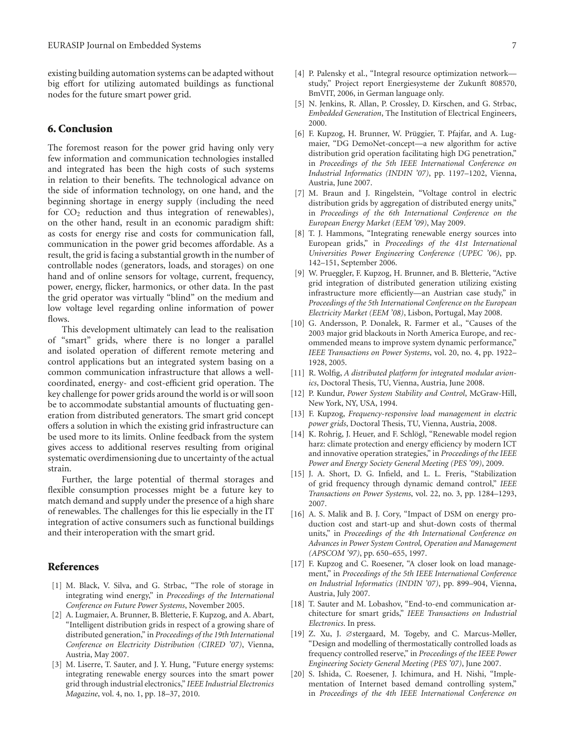existing building automation systems can be adapted without big effort for utilizing automated buildings as functional nodes for the future smart power grid.

#### **6. Conclusion**

The foremost reason for the power grid having only very few information and communication technologies installed and integrated has been the high costs of such systems in relation to their benefits. The technological advance on the side of information technology, on one hand, and the beginning shortage in energy supply (including the need for  $CO<sub>2</sub>$  reduction and thus integration of renewables), on the other hand, result in an economic paradigm shift: as costs for energy rise and costs for communication fall, communication in the power grid becomes affordable. As a result, the grid is facing a substantial growth in the number of controllable nodes (generators, loads, and storages) on one hand and of online sensors for voltage, current, frequency, power, energy, flicker, harmonics, or other data. In the past the grid operator was virtually "blind" on the medium and low voltage level regarding online information of power flows.

This development ultimately can lead to the realisation of "smart" grids, where there is no longer a parallel and isolated operation of different remote metering and control applications but an integrated system basing on a common communication infrastructure that allows a wellcoordinated, energy- and cost-efficient grid operation. The key challenge for power grids around the world is or will soon be to accommodate substantial amounts of fluctuating generation from distributed generators. The smart grid concept offers a solution in which the existing grid infrastructure can be used more to its limits. Online feedback from the system gives access to additional reserves resulting from original systematic overdimensioning due to uncertainty of the actual strain.

Further, the large potential of thermal storages and flexible consumption processes might be a future key to match demand and supply under the presence of a high share of renewables. The challenges for this lie especially in the IT integration of active consumers such as functional buildings and their interoperation with the smart grid.

### **References**

- [1] M. Black, V. Silva, and G. Strbac, "The role of storage in integrating wind energy," in *Proceedings of the International Conference on Future Power Systems*, November 2005.
- [2] A. Lugmaier, A. Brunner, B. Bletterie, F. Kupzog, and A. Abart, "Intelligent distribution grids in respect of a growing share of distributed generation," in *Proceedings of the 19th International Conference on Electricity Distribution (CIRED '07)*, Vienna, Austria, May 2007.
- [3] M. Liserre, T. Sauter, and J. Y. Hung, "Future energy systems: integrating renewable energy sources into the smart power grid through industrial electronics," *IEEE Industrial Electronics Magazine*, vol. 4, no. 1, pp. 18–37, 2010.
- [4] P. Palensky et al., "Integral resource optimization network study," Project report Energiesysteme der Zukunft 808570, BmVIT, 2006, in German language only.
- [5] N. Jenkins, R. Allan, P. Crossley, D. Kirschen, and G. Strbac, *Embedded Generation*, The Institution of Electrical Engineers, 2000.
- [6] F. Kupzog, H. Brunner, W. Prüggier, T. Pfajfar, and A. Lugmaier, "DG DemoNet-concept—a new algorithm for active distribution grid operation facilitating high DG penetration," in *Proceedings of the 5th IEEE International Conference on Industrial Informatics (INDIN '07)*, pp. 1197–1202, Vienna, Austria, June 2007.
- [7] M. Braun and J. Ringelstein, "Voltage control in electric distribution grids by aggregation of distributed energy units," in *Proceedings of the 6th International Conference on the European Energy Market (EEM '09)*, May 2009.
- [8] T. J. Hammons, "Integrating renewable energy sources into European grids," in *Proceedings of the 41st International Universities Power Engineering Conference (UPEC '06)*, pp. 142–151, September 2006.
- [9] W. Prueggler, F. Kupzog, H. Brunner, and B. Bletterie, "Active grid integration of distributed generation utilizing existing infrastructure more efficiently—an Austrian case study," in *Proceedings of the 5th International Conference on the European Electricity Market (EEM '08)*, Lisbon, Portugal, May 2008.
- [10] G. Andersson, P. Donalek, R. Farmer et al., "Causes of the 2003 major grid blackouts in North America Europe, and recommended means to improve system dynamic performance," *IEEE Transactions on Power Systems*, vol. 20, no. 4, pp. 1922– 1928, 2005.
- [11] R. Wolfig, *A distributed platform for integrated modular avionics*, Doctoral Thesis, TU, Vienna, Austria, June 2008.
- [12] P. Kundur, *Power System Stability and Control*, McGraw-Hill, New York, NY, USA, 1994.
- [13] F. Kupzog, *Frequency-responsive load management in electric power grids*, Doctoral Thesis, TU, Vienna, Austria, 2008.
- [14] K. Rohrig, J. Heuer, and F. Schlögl, "Renewable model region harz: climate protection and energy efficiency by modern ICT and innovative operation strategies," in *Proceedings of the IEEE Power and Energy Society General Meeting (PES '09)*, 2009.
- [15] J. A. Short, D. G. Infield, and L. L. Freris, "Stabilization of grid frequency through dynamic demand control," *IEEE Transactions on Power Systems*, vol. 22, no. 3, pp. 1284–1293, 2007.
- [16] A. S. Malik and B. J. Cory, "Impact of DSM on energy production cost and start-up and shut-down costs of thermal units," in *Proceedings of the 4th International Conference on Advances in Power System Control, Operation and Management (APSCOM '97)*, pp. 650–655, 1997.
- [17] F. Kupzog and C. Roesener, "A closer look on load management," in *Proceedings of the 5th IEEE International Conference on Industrial Informatics (INDIN '07)*, pp. 899–904, Vienna, Austria, July 2007.
- [18] T. Sauter and M. Lobashov, "End-to-end communication architecture for smart grids," *IEEE Transactions on Industrial Electronics*. In press.
- [19] Z. Xu, J. ∅stergaard, M. Togeby, and C. Marcus-Møller, "Design and modelling of thermostatically controlled loads as frequency controlled reserve," in *Proceedings of the IEEE Power Engineering Society General Meeting (PES '07)*, June 2007.
- [20] S. Ishida, C. Roesener, J. Ichimura, and H. Nishi, "Implementation of Internet based demand controlling system," in *Proceedings of the 4th IEEE International Conference on*